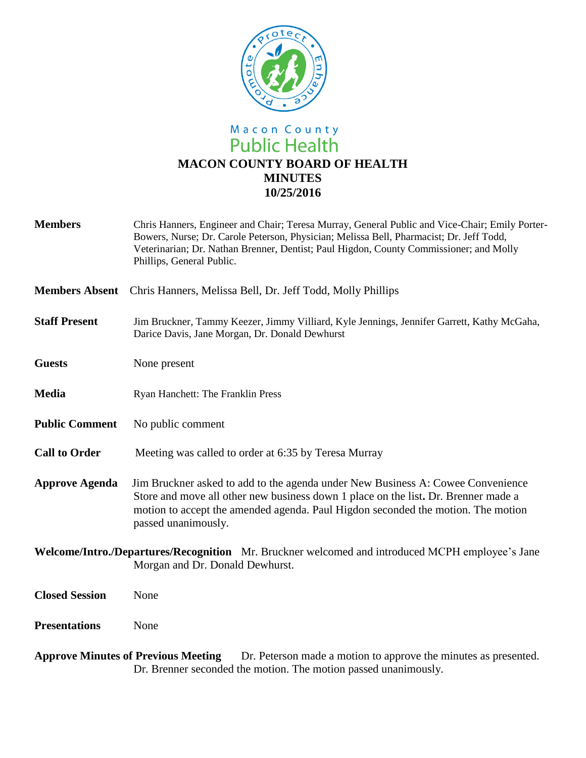

# Macon County<br>Public Health **MACON COUNTY BOARD OF HEALTH MINUTES 10/25/2016**

| <b>Members</b>        | Chris Hanners, Engineer and Chair; Teresa Murray, General Public and Vice-Chair; Emily Porter-<br>Bowers, Nurse; Dr. Carole Peterson, Physician; Melissa Bell, Pharmacist; Dr. Jeff Todd,<br>Veterinarian; Dr. Nathan Brenner, Dentist; Paul Higdon, County Commissioner; and Molly<br>Phillips, General Public. |
|-----------------------|------------------------------------------------------------------------------------------------------------------------------------------------------------------------------------------------------------------------------------------------------------------------------------------------------------------|
| <b>Members Absent</b> | Chris Hanners, Melissa Bell, Dr. Jeff Todd, Molly Phillips                                                                                                                                                                                                                                                       |
| <b>Staff Present</b>  | Jim Bruckner, Tammy Keezer, Jimmy Villiard, Kyle Jennings, Jennifer Garrett, Kathy McGaha,<br>Darice Davis, Jane Morgan, Dr. Donald Dewhurst                                                                                                                                                                     |
| <b>Guests</b>         | None present                                                                                                                                                                                                                                                                                                     |
| <b>Media</b>          | Ryan Hanchett: The Franklin Press                                                                                                                                                                                                                                                                                |
| <b>Public Comment</b> | No public comment                                                                                                                                                                                                                                                                                                |
| <b>Call to Order</b>  | Meeting was called to order at 6:35 by Teresa Murray                                                                                                                                                                                                                                                             |
| <b>Approve Agenda</b> | Jim Bruckner asked to add to the agenda under New Business A: Cowee Convenience<br>Store and move all other new business down 1 place on the list. Dr. Brenner made a<br>motion to accept the amended agenda. Paul Higdon seconded the motion. The motion<br>passed unanimously.                                 |
|                       | Welcome/Intro./Departures/Recognition Mr. Bruckner welcomed and introduced MCPH employee's Jane<br>Morgan and Dr. Donald Dewhurst.                                                                                                                                                                               |
| <b>Closed Session</b> | None                                                                                                                                                                                                                                                                                                             |
| <b>Presentations</b>  | None                                                                                                                                                                                                                                                                                                             |
|                       |                                                                                                                                                                                                                                                                                                                  |

Approve Minutes of Previous Meeting Dr. Peterson made a motion to approve the minutes as presented. Dr. Brenner seconded the motion. The motion passed unanimously.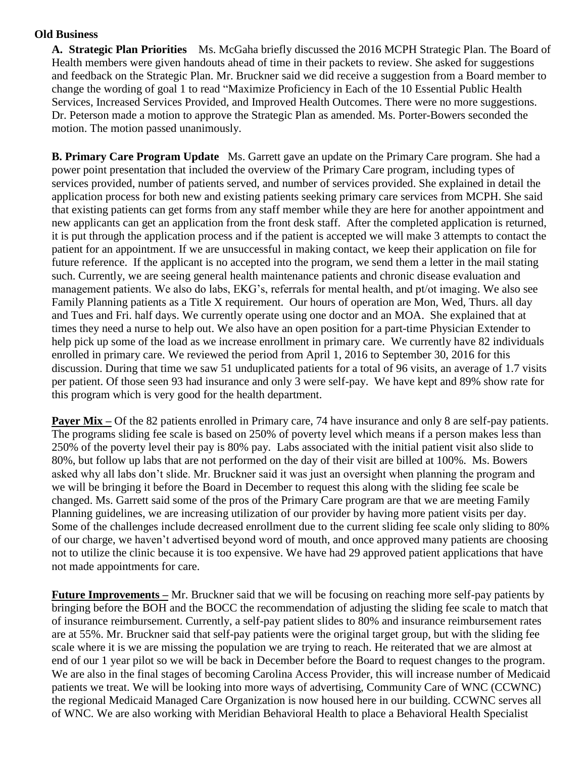### **Old Business**

**A. Strategic Plan Priorities** Ms. McGaha briefly discussed the 2016 MCPH Strategic Plan. The Board of Health members were given handouts ahead of time in their packets to review. She asked for suggestions and feedback on the Strategic Plan. Mr. Bruckner said we did receive a suggestion from a Board member to change the wording of goal 1 to read "Maximize Proficiency in Each of the 10 Essential Public Health Services, Increased Services Provided, and Improved Health Outcomes. There were no more suggestions. Dr. Peterson made a motion to approve the Strategic Plan as amended. Ms. Porter-Bowers seconded the motion. The motion passed unanimously.

**B. Primary Care Program Update** Ms. Garrett gave an update on the Primary Care program. She had a power point presentation that included the overview of the Primary Care program, including types of services provided, number of patients served, and number of services provided. She explained in detail the application process for both new and existing patients seeking primary care services from MCPH. She said that existing patients can get forms from any staff member while they are here for another appointment and new applicants can get an application from the front desk staff. After the completed application is returned, it is put through the application process and if the patient is accepted we will make 3 attempts to contact the patient for an appointment. If we are unsuccessful in making contact, we keep their application on file for future reference. If the applicant is no accepted into the program, we send them a letter in the mail stating such. Currently, we are seeing general health maintenance patients and chronic disease evaluation and management patients. We also do labs, EKG's, referrals for mental health, and pt/ot imaging. We also see Family Planning patients as a Title X requirement. Our hours of operation are Mon, Wed, Thurs. all day and Tues and Fri. half days. We currently operate using one doctor and an MOA. She explained that at times they need a nurse to help out. We also have an open position for a part-time Physician Extender to help pick up some of the load as we increase enrollment in primary care. We currently have 82 individuals enrolled in primary care. We reviewed the period from April 1, 2016 to September 30, 2016 for this discussion. During that time we saw 51 unduplicated patients for a total of 96 visits, an average of 1.7 visits per patient. Of those seen 93 had insurance and only 3 were self-pay. We have kept and 89% show rate for this program which is very good for the health department.

**Payer Mix** – Of the 82 patients enrolled in Primary care, 74 have insurance and only 8 are self-pay patients. The programs sliding fee scale is based on 250% of poverty level which means if a person makes less than 250% of the poverty level their pay is 80% pay. Labs associated with the initial patient visit also slide to 80%, but follow up labs that are not performed on the day of their visit are billed at 100%. Ms. Bowers asked why all labs don't slide. Mr. Bruckner said it was just an oversight when planning the program and we will be bringing it before the Board in December to request this along with the sliding fee scale be changed. Ms. Garrett said some of the pros of the Primary Care program are that we are meeting Family Planning guidelines, we are increasing utilization of our provider by having more patient visits per day. Some of the challenges include decreased enrollment due to the current sliding fee scale only sliding to 80% of our charge, we haven't advertised beyond word of mouth, and once approved many patients are choosing not to utilize the clinic because it is too expensive. We have had 29 approved patient applications that have not made appointments for care.

**Future Improvements –** Mr. Bruckner said that we will be focusing on reaching more self-pay patients by bringing before the BOH and the BOCC the recommendation of adjusting the sliding fee scale to match that of insurance reimbursement. Currently, a self-pay patient slides to 80% and insurance reimbursement rates are at 55%. Mr. Bruckner said that self-pay patients were the original target group, but with the sliding fee scale where it is we are missing the population we are trying to reach. He reiterated that we are almost at end of our 1 year pilot so we will be back in December before the Board to request changes to the program. We are also in the final stages of becoming Carolina Access Provider, this will increase number of Medicaid patients we treat. We will be looking into more ways of advertising, Community Care of WNC (CCWNC) the regional Medicaid Managed Care Organization is now housed here in our building. CCWNC serves all of WNC. We are also working with Meridian Behavioral Health to place a Behavioral Health Specialist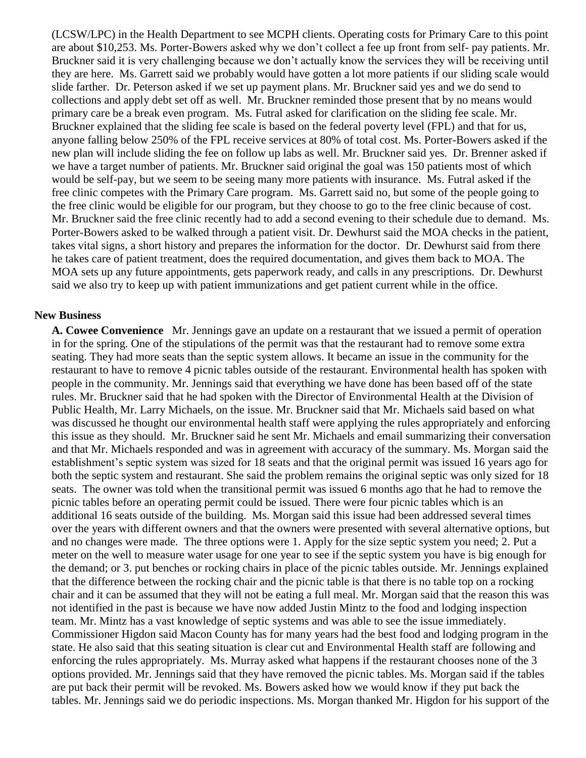(LCSW/LPC) in the Health Department to see MCPH clients. Operating costs for Primary Care to this point are about \$10,253. Ms. Porter-Bowers asked why we don't collect a fee up front from self- pay patients. Mr. Bruckner said it is very challenging because we don't actually know the services they will be receiving until they are here. Ms. Garrett said we probably would have gotten a lot more patients if our sliding scale would slide farther. Dr. Peterson asked if we set up payment plans. Mr. Bruckner said yes and we do send to collections and apply debt set off as well. Mr. Bruckner reminded those present that by no means would primary care be a break even program. Ms. Futral asked for clarification on the sliding fee scale. Mr. Bruckner explained that the sliding fee scale is based on the federal poverty level (FPL) and that for us, anyone falling below 250% of the FPL receive services at 80% of total cost. Ms. Porter-Bowers asked if the new plan will include sliding the fee on follow up labs as well. Mr. Bruckner said yes. Dr. Brenner asked if we have a target number of patients. Mr. Bruckner said original the goal was 150 patients most of which would be self-pay, but we seem to be seeing many more patients with insurance. Ms. Futral asked if the free clinic competes with the Primary Care program. Ms. Garrett said no, but some of the people going to the free clinic would be eligible for our program, but they choose to go to the free clinic because of cost. Mr. Bruckner said the free clinic recently had to add a second evening to their schedule due to demand. Ms. Porter-Bowers asked to be walked through a patient visit. Dr. Dewhurst said the MOA checks in the patient, takes vital signs, a short history and prepares the information for the doctor. Dr. Dewhurst said from there he takes care of patient treatment, does the required documentation, and gives them back to MOA. The MOA sets up any future appointments, gets paperwork ready, and calls in any prescriptions. Dr. Dewhurst said we also try to keep up with patient immunizations and get patient current while in the office.

#### **New Business**

**A. Cowee Convenience** Mr. Jennings gave an update on a restaurant that we issued a permit of operation in for the spring. One of the stipulations of the permit was that the restaurant had to remove some extra seating. They had more seats than the septic system allows. It became an issue in the community for the restaurant to have to remove 4 picnic tables outside of the restaurant. Environmental health has spoken with people in the community. Mr. Jennings said that everything we have done has been based off of the state rules. Mr. Bruckner said that he had spoken with the Director of Environmental Health at the Division of Public Health, Mr. Larry Michaels, on the issue. Mr. Bruckner said that Mr. Michaels said based on what was discussed he thought our environmental health staff were applying the rules appropriately and enforcing this issue as they should. Mr. Bruckner said he sent Mr. Michaels and email summarizing their conversation and that Mr. Michaels responded and was in agreement with accuracy of the summary. Ms. Morgan said the establishment's septic system was sized for 18 seats and that the original permit was issued 16 years ago for both the septic system and restaurant. She said the problem remains the original septic was only sized for 18 seats. The owner was told when the transitional permit was issued 6 months ago that he had to remove the picnic tables before an operating permit could be issued. There were four picnic tables which is an additional 16 seats outside of the building. Ms. Morgan said this issue had been addressed several times over the years with different owners and that the owners were presented with several alternative options, but and no changes were made. The three options were 1. Apply for the size septic system you need; 2. Put a meter on the well to measure water usage for one year to see if the septic system you have is big enough for the demand; or 3. put benches or rocking chairs in place of the picnic tables outside. Mr. Jennings explained that the difference between the rocking chair and the picnic table is that there is no table top on a rocking chair and it can be assumed that they will not be eating a full meal. Mr. Morgan said that the reason this was not identified in the past is because we have now added Justin Mintz to the food and lodging inspection team. Mr. Mintz has a vast knowledge of septic systems and was able to see the issue immediately. Commissioner Higdon said Macon County has for many years had the best food and lodging program in the state. He also said that this seating situation is clear cut and Environmental Health staff are following and enforcing the rules appropriately. Ms. Murray asked what happens if the restaurant chooses none of the 3 options provided. Mr. Jennings said that they have removed the picnic tables. Ms. Morgan said if the tables are put back their permit will be revoked. Ms. Bowers asked how we would know if they put back the tables. Mr. Jennings said we do periodic inspections. Ms. Morgan thanked Mr. Higdon for his support of the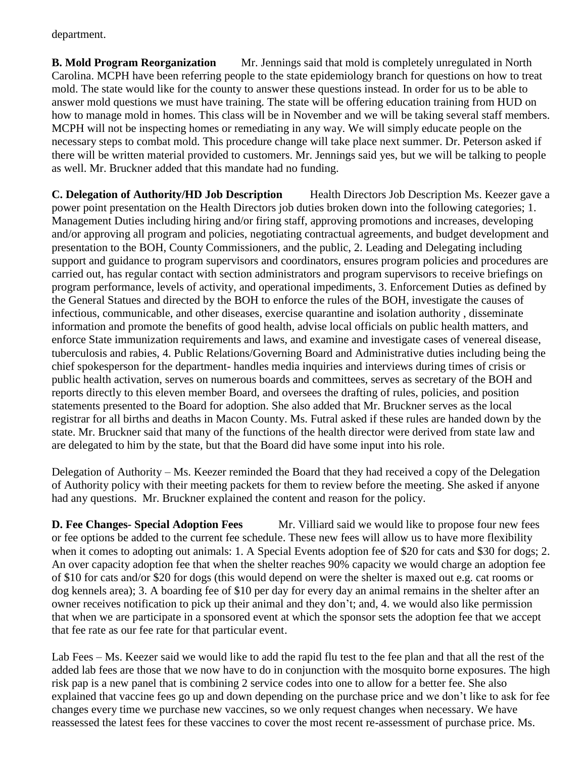department.

**B. Mold Program Reorganization** Mr. Jennings said that mold is completely unregulated in North Carolina. MCPH have been referring people to the state epidemiology branch for questions on how to treat mold. The state would like for the county to answer these questions instead. In order for us to be able to answer mold questions we must have training. The state will be offering education training from HUD on how to manage mold in homes. This class will be in November and we will be taking several staff members. MCPH will not be inspecting homes or remediating in any way. We will simply educate people on the necessary steps to combat mold. This procedure change will take place next summer. Dr. Peterson asked if there will be written material provided to customers. Mr. Jennings said yes, but we will be talking to people as well. Mr. Bruckner added that this mandate had no funding.

**C. Delegation of Authority/HD Job Description** Health Directors Job Description Ms. Keezer gave a power point presentation on the Health Directors job duties broken down into the following categories; 1. Management Duties including hiring and/or firing staff, approving promotions and increases, developing and/or approving all program and policies, negotiating contractual agreements, and budget development and presentation to the BOH, County Commissioners, and the public, 2. Leading and Delegating including support and guidance to program supervisors and coordinators, ensures program policies and procedures are carried out, has regular contact with section administrators and program supervisors to receive briefings on program performance, levels of activity, and operational impediments, 3. Enforcement Duties as defined by the General Statues and directed by the BOH to enforce the rules of the BOH, investigate the causes of infectious, communicable, and other diseases, exercise quarantine and isolation authority , disseminate information and promote the benefits of good health, advise local officials on public health matters, and enforce State immunization requirements and laws, and examine and investigate cases of venereal disease, tuberculosis and rabies, 4. Public Relations/Governing Board and Administrative duties including being the chief spokesperson for the department- handles media inquiries and interviews during times of crisis or public health activation, serves on numerous boards and committees, serves as secretary of the BOH and reports directly to this eleven member Board, and oversees the drafting of rules, policies, and position statements presented to the Board for adoption. She also added that Mr. Bruckner serves as the local registrar for all births and deaths in Macon County. Ms. Futral asked if these rules are handed down by the state. Mr. Bruckner said that many of the functions of the health director were derived from state law and are delegated to him by the state, but that the Board did have some input into his role.

Delegation of Authority – Ms. Keezer reminded the Board that they had received a copy of the Delegation of Authority policy with their meeting packets for them to review before the meeting. She asked if anyone had any questions. Mr. Bruckner explained the content and reason for the policy.

**D. Fee Changes- Special Adoption Fees** Mr. Villiard said we would like to propose four new fees or fee options be added to the current fee schedule. These new fees will allow us to have more flexibility when it comes to adopting out animals: 1. A Special Events adoption fee of \$20 for cats and \$30 for dogs; 2. An over capacity adoption fee that when the shelter reaches 90% capacity we would charge an adoption fee of \$10 for cats and/or \$20 for dogs (this would depend on were the shelter is maxed out e.g. cat rooms or dog kennels area); 3. A boarding fee of \$10 per day for every day an animal remains in the shelter after an owner receives notification to pick up their animal and they don't; and, 4. we would also like permission that when we are participate in a sponsored event at which the sponsor sets the adoption fee that we accept that fee rate as our fee rate for that particular event.

Lab Fees – Ms. Keezer said we would like to add the rapid flu test to the fee plan and that all the rest of the added lab fees are those that we now have to do in conjunction with the mosquito borne exposures. The high risk pap is a new panel that is combining 2 service codes into one to allow for a better fee. She also explained that vaccine fees go up and down depending on the purchase price and we don't like to ask for fee changes every time we purchase new vaccines, so we only request changes when necessary. We have reassessed the latest fees for these vaccines to cover the most recent re-assessment of purchase price. Ms.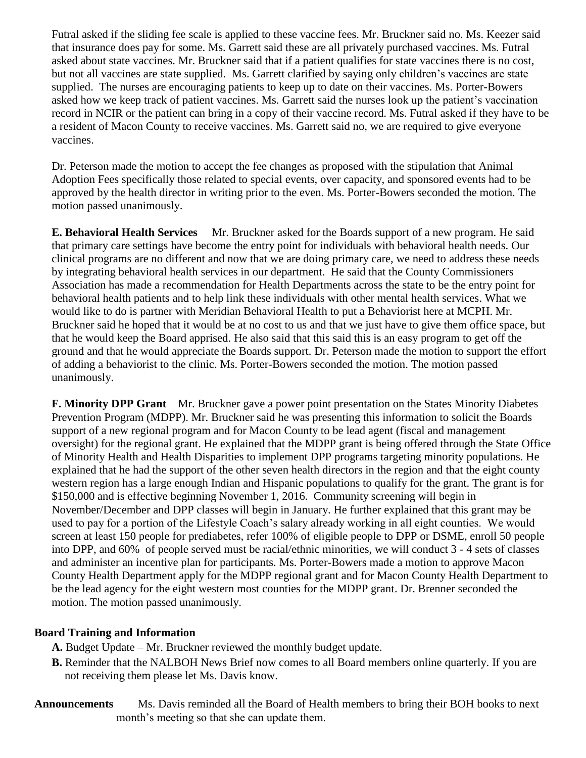Futral asked if the sliding fee scale is applied to these vaccine fees. Mr. Bruckner said no. Ms. Keezer said that insurance does pay for some. Ms. Garrett said these are all privately purchased vaccines. Ms. Futral asked about state vaccines. Mr. Bruckner said that if a patient qualifies for state vaccines there is no cost, but not all vaccines are state supplied. Ms. Garrett clarified by saying only children's vaccines are state supplied. The nurses are encouraging patients to keep up to date on their vaccines. Ms. Porter-Bowers asked how we keep track of patient vaccines. Ms. Garrett said the nurses look up the patient's vaccination record in NCIR or the patient can bring in a copy of their vaccine record. Ms. Futral asked if they have to be a resident of Macon County to receive vaccines. Ms. Garrett said no, we are required to give everyone vaccines.

Dr. Peterson made the motion to accept the fee changes as proposed with the stipulation that Animal Adoption Fees specifically those related to special events, over capacity, and sponsored events had to be approved by the health director in writing prior to the even. Ms. Porter-Bowers seconded the motion. The motion passed unanimously.

**E. Behavioral Health Services** Mr. Bruckner asked for the Boards support of a new program. He said that primary care settings have become the entry point for individuals with behavioral health needs. Our clinical programs are no different and now that we are doing primary care, we need to address these needs by integrating behavioral health services in our department. He said that the County Commissioners Association has made a recommendation for Health Departments across the state to be the entry point for behavioral health patients and to help link these individuals with other mental health services. What we would like to do is partner with Meridian Behavioral Health to put a Behaviorist here at MCPH. Mr. Bruckner said he hoped that it would be at no cost to us and that we just have to give them office space, but that he would keep the Board apprised. He also said that this said this is an easy program to get off the ground and that he would appreciate the Boards support. Dr. Peterson made the motion to support the effort of adding a behaviorist to the clinic. Ms. Porter-Bowers seconded the motion. The motion passed unanimously.

**F. Minority DPP Grant** Mr. Bruckner gave a power point presentation on the States Minority Diabetes Prevention Program (MDPP). Mr. Bruckner said he was presenting this information to solicit the Boards support of a new regional program and for Macon County to be lead agent (fiscal and management oversight) for the regional grant. He explained that the MDPP grant is being offered through the State Office of Minority Health and Health Disparities to implement DPP programs targeting minority populations. He explained that he had the support of the other seven health directors in the region and that the eight county western region has a large enough Indian and Hispanic populations to qualify for the grant. The grant is for \$150,000 and is effective beginning November 1, 2016. Community screening will begin in November/December and DPP classes will begin in January. He further explained that this grant may be used to pay for a portion of the Lifestyle Coach's salary already working in all eight counties. We would screen at least 150 people for prediabetes, refer 100% of eligible people to DPP or DSME, enroll 50 people into DPP, and 60% of people served must be racial/ethnic minorities, we will conduct 3 - 4 sets of classes and administer an incentive plan for participants. Ms. Porter-Bowers made a motion to approve Macon County Health Department apply for the MDPP regional grant and for Macon County Health Department to be the lead agency for the eight western most counties for the MDPP grant. Dr. Brenner seconded the motion. The motion passed unanimously.

## **Board Training and Information**

- **A.** Budget Update Mr. Bruckner reviewed the monthly budget update.
- **B.** Reminder that the NALBOH News Brief now comes to all Board members online quarterly. If you are not receiving them please let Ms. Davis know.
- **Announcements** Ms. Davis reminded all the Board of Health members to bring their BOH books to next month's meeting so that she can update them.